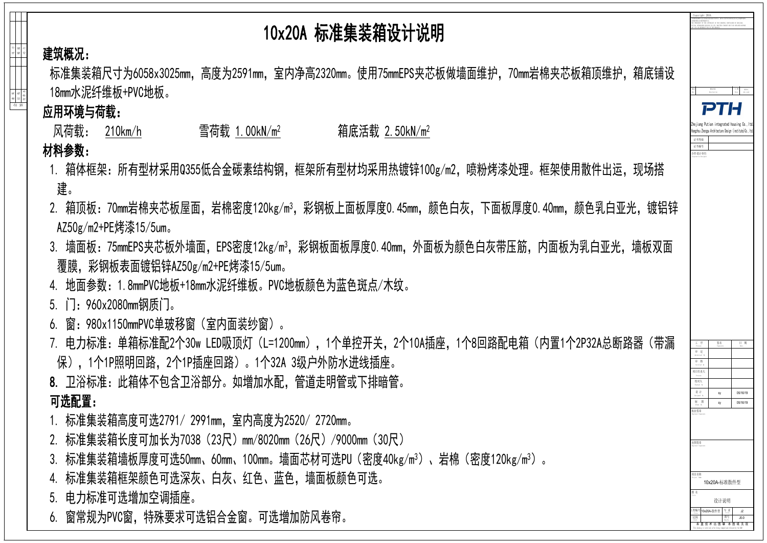给 排 水



标准集装箱尺寸为6058x3025mm,高度为2591mm,室内净高2320mm。使用75mmEPS夹芯板做墙面维护,70mm岩棉夹芯板箱顶维护,箱底铺设 18mm水泥纤维板+PVC地板。

动 力

建 筑 | | | | | | カ 结 构 丨 \_ \_ \_ \_ \_ \_ \_ \_ \_ \_ \_ \_ \_ \_ \_ 题 通

会签

## 10x20A 标准集装箱设计说明

- 1. 箱体框架: 所有型材采用Q355低合金碳素结构钢,框架所有型材均采用热镀锌100g/m2,喷粉烤漆处理。框架使用散件出运,现场搭 建。
- 2. 箱顶板:70mm岩棉夹芯板屋面,岩棉密度120kg/m<sup>3</sup>,彩钢板上面板厚度0.45mm,颜色白灰,下面板厚度0.40mm,颜色乳白亚光,镀铝锌 AZ50g/m2+PE烤漆15/5um。
- 3. 墙面板: 75mmEPS夹芯板外墙面, EPS密度12kg/m<sup>3</sup>, 彩钢板面板厚度0.40mm, 外面板为颜色白灰带压筋, 内面板为乳白亚光, 墙板双面 覆膜,彩钢板表面镀铝锌AZ50g/m2+PE烤漆15/5um。
- 4. 地面参数:1.8mmPVC地板+18mm水泥纤维板。PVC地板颜色为蓝色斑点/木纹。
- 5. 门:960x2080mm钢质门。
- 6. 窗:980x1150mmPVC单玻移窗(室内面装纱窗)。
- 7. 电力标准: 单箱标准配2个30w LED吸顶灯(L=1200mm),1个单控开关,2个10A插座,1个8回路配电箱(内置1个2P32A总断路器(带漏-保),1个1P照明回路,2个1P插座回路)。1个32A 3级户外防水进线插座。 8. 卫浴标准:此箱体不包含卫浴部分。如增加水配,管道走明管或下排暗管。 可选配置:
- 1. 标准集装箱高度可选2791/ 2991mm,室内高度为2520/ 2720mm。
- 2. 标准集装箱长度可加长为7038(23尺)mm/8020mm(26尺)/9000mm(30尺)
- 3. 标准集装箱墙板厚度可选50mm、60mm、100mm。墙面芯材可选PU(密度40kg/m<sup>3</sup>)、岩棉(密度120kg/m<sup>3</sup>)。
- 4. 标准集装箱框架颜色可选深灰、白灰、红色、蓝色,墙面板颜色可选。
- 5. 电力标准可选增加空调插座。
- 6. 窗常规为PVC窗,特殊要求可选铝合金窗。可选增加防风卷帘。

建筑概况:

应用环境与荷载:

 风荷载: 210km/h 雪荷载 1.00kN/m2 箱底活载 2.50kN/m2 材料参数: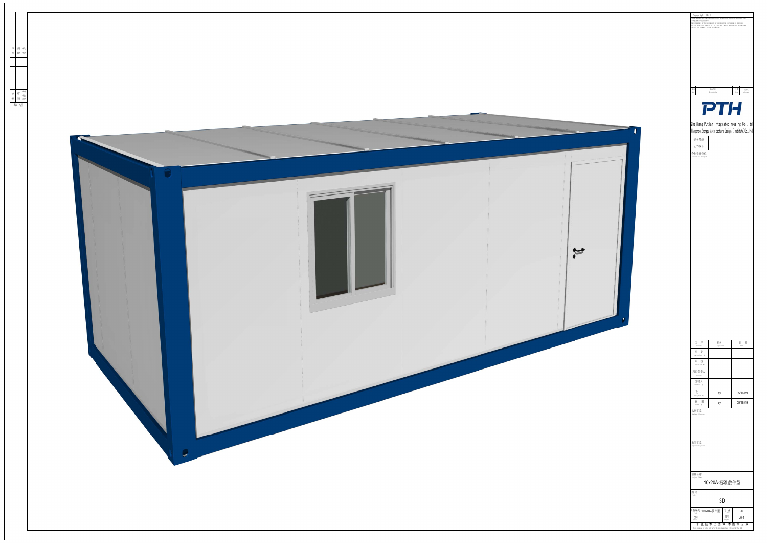



| 版本<br>Rev.                     | 修改内容<br>Description |                                                            | 日期<br>Date | 发布人<br>who send |
|--------------------------------|---------------------|------------------------------------------------------------|------------|-----------------|
|                                |                     | THE                                                        |            |                 |
|                                |                     | Zhejiang Putian integrated housing Co., Itd.               |            |                 |
|                                |                     | Hangzhou Zhongpu Architecture Design (institute) Co., Itd. |            |                 |
| 证书等级<br>证书编号                   |                     |                                                            |            |                 |
| 合作设计单位<br>Cooperative Designer |                     |                                                            |            |                 |
|                                |                     |                                                            |            |                 |
|                                |                     |                                                            |            |                 |
|                                |                     |                                                            |            |                 |
|                                |                     |                                                            |            |                 |
|                                |                     |                                                            |            |                 |
|                                |                     |                                                            |            |                 |
|                                |                     |                                                            |            |                 |
|                                |                     |                                                            |            |                 |
|                                |                     |                                                            |            |                 |
|                                |                     |                                                            |            |                 |
|                                |                     |                                                            |            |                 |
|                                |                     |                                                            |            |                 |
|                                |                     |                                                            |            |                 |
|                                |                     |                                                            |            |                 |
|                                |                     |                                                            |            |                 |
|                                |                     |                                                            |            |                 |
|                                |                     |                                                            |            |                 |
| I<br>序<br>Process              |                     | 签名<br>Signature                                            | E.<br>Date | 期               |
| 审<br>定<br>Authorized By        |                     |                                                            |            |                 |
| 审<br>核<br>Verified By          |                     |                                                            |            |                 |
| 项目负责人<br>Process               |                     |                                                            |            |                 |
| 校对人<br>Checked By              |                     |                                                            |            |                 |
| 设计<br>Designed By<br>制<br>图    |                     | sy                                                         | 05/16/19   |                 |
| Drawn By<br>执业签章               |                     | sy                                                         | 05/16/19   |                 |
| Engineer Signature             |                     |                                                            |            |                 |
|                                |                     |                                                            |            |                 |
| 出图签章                           |                     |                                                            |            |                 |
| Engineer Signature             |                     |                                                            |            |                 |
|                                |                     |                                                            |            |                 |
| 项目名称                           |                     |                                                            |            |                 |
| Project Name                   |                     | 10x20A-标准散件型                                               |            |                 |
| 图名<br>Title                    |                     |                                                            |            |                 |
| L程编号                           | 10x20A-散件型          | 3D<br>专业                                                   |            |                 |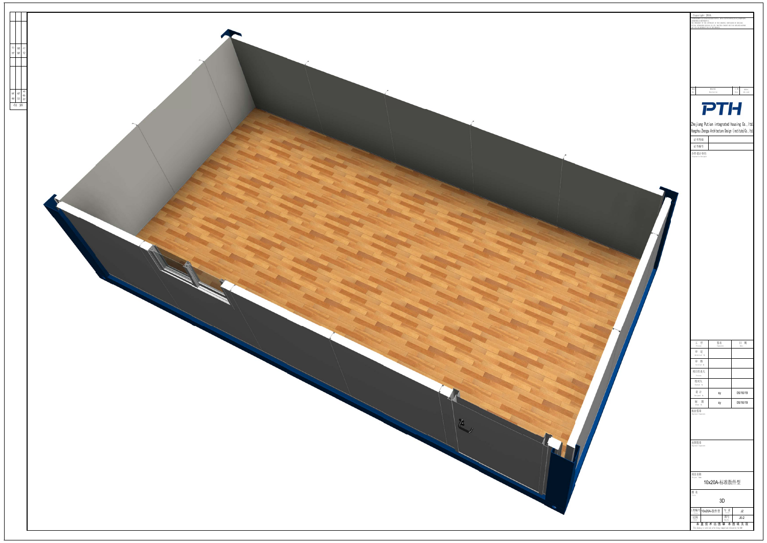

|                                                                                                                                                                                                                                                                                                                                                                             | $\label{eq:constr} \begin{array}{l} \text{Copyright} \\ \texttt{ABREWHMSET} = \texttt{R\_R\_R} \times \texttt{B} \times \texttt{B} \times \texttt{B} \times \texttt{B} \times \texttt{R} \times \texttt{R\_R} \times \texttt{R\_R} \times \texttt{R\_R} \times \texttt{R\_R} \times \texttt{R\_R} \times \texttt{R\_R} \times \texttt{R\_R} \times \texttt{R\_R} \times \texttt{R\_R} \times \texttt{R\_R} \times \texttt{R\_R} \times \texttt{R\_R} \times \texttt{R\_R} \times \texttt{R\_$ |
|-----------------------------------------------------------------------------------------------------------------------------------------------------------------------------------------------------------------------------------------------------------------------------------------------------------------------------------------------------------------------------|-----------------------------------------------------------------------------------------------------------------------------------------------------------------------------------------------------------------------------------------------------------------------------------------------------------------------------------------------------------------------------------------------------------------------------------------------------------------------------------------------|
|                                                                                                                                                                                                                                                                                                                                                                             |                                                                                                                                                                                                                                                                                                                                                                                                                                                                                               |
|                                                                                                                                                                                                                                                                                                                                                                             |                                                                                                                                                                                                                                                                                                                                                                                                                                                                                               |
|                                                                                                                                                                                                                                                                                                                                                                             | 修改内容<br>版本<br>日期<br>发布人<br>$\label{eq:1} \textbf{Description}$<br>Date<br>who send<br>Rev.                                                                                                                                                                                                                                                                                                                                                                                                    |
|                                                                                                                                                                                                                                                                                                                                                                             | <b>PTH</b>                                                                                                                                                                                                                                                                                                                                                                                                                                                                                    |
|                                                                                                                                                                                                                                                                                                                                                                             | Zhejiang Putian integrated housing Co., Itd.<br>Hangzhou Zhongpu Architecture Design (institute)Co., Itd.<br>证书等级                                                                                                                                                                                                                                                                                                                                                                             |
|                                                                                                                                                                                                                                                                                                                                                                             | 证书编号<br>合作设计单位<br>Cooperative Designer                                                                                                                                                                                                                                                                                                                                                                                                                                                        |
|                                                                                                                                                                                                                                                                                                                                                                             |                                                                                                                                                                                                                                                                                                                                                                                                                                                                                               |
|                                                                                                                                                                                                                                                                                                                                                                             |                                                                                                                                                                                                                                                                                                                                                                                                                                                                                               |
|                                                                                                                                                                                                                                                                                                                                                                             |                                                                                                                                                                                                                                                                                                                                                                                                                                                                                               |
|                                                                                                                                                                                                                                                                                                                                                                             |                                                                                                                                                                                                                                                                                                                                                                                                                                                                                               |
|                                                                                                                                                                                                                                                                                                                                                                             |                                                                                                                                                                                                                                                                                                                                                                                                                                                                                               |
|                                                                                                                                                                                                                                                                                                                                                                             |                                                                                                                                                                                                                                                                                                                                                                                                                                                                                               |
|                                                                                                                                                                                                                                                                                                                                                                             |                                                                                                                                                                                                                                                                                                                                                                                                                                                                                               |
|                                                                                                                                                                                                                                                                                                                                                                             |                                                                                                                                                                                                                                                                                                                                                                                                                                                                                               |
|                                                                                                                                                                                                                                                                                                                                                                             | 签名<br>Signature<br>日 期<br>工 序<br>Process                                                                                                                                                                                                                                                                                                                                                                                                                                                      |
|                                                                                                                                                                                                                                                                                                                                                                             | 审定<br>${\tt Authorized} \quad {\tt By}$<br>审核<br>Verified By                                                                                                                                                                                                                                                                                                                                                                                                                                  |
|                                                                                                                                                                                                                                                                                                                                                                             | 项目负责人<br>Process<br>校对人<br>$Checked$ By                                                                                                                                                                                                                                                                                                                                                                                                                                                       |
|                                                                                                                                                                                                                                                                                                                                                                             | 设计<br>05/16/19<br>$\ensuremath{\mathsf{s}}\ensuremath{\mathsf{y}}$<br>Designed By<br>制 图<br>05/16/19<br>sy<br>Drawn By                                                                                                                                                                                                                                                                                                                                                                        |
| $\begin{picture}(220,20) \put(0,0){\vector(0,1){30}} \put(15,0){\vector(0,1){30}} \put(15,0){\vector(0,1){30}} \put(15,0){\vector(0,1){30}} \put(15,0){\vector(0,1){30}} \put(15,0){\vector(0,1){30}} \put(15,0){\vector(0,1){30}} \put(15,0){\vector(0,1){30}} \put(15,0){\vector(0,1){30}} \put(15,0){\vector(0,1){30}} \put(15,0){\vector(0,1){30}} \put(15,0){\vector($ | 执业签章<br>Engineer Signatur                                                                                                                                                                                                                                                                                                                                                                                                                                                                     |
|                                                                                                                                                                                                                                                                                                                                                                             | 出图签章<br>Engineer Signature                                                                                                                                                                                                                                                                                                                                                                                                                                                                    |
|                                                                                                                                                                                                                                                                                                                                                                             |                                                                                                                                                                                                                                                                                                                                                                                                                                                                                               |
|                                                                                                                                                                                                                                                                                                                                                                             | 项目名称<br>Project Name<br>10x20A-标准散件型                                                                                                                                                                                                                                                                                                                                                                                                                                                          |
| ×                                                                                                                                                                                                                                                                                                                                                                           | 图 名<br>$3D$<br>专业 $\frac{1}{\sqrt[3]{1}}$<br>工程编号 10x20A-散件型<br>JZ                                                                                                                                                                                                                                                                                                                                                                                                                            |
|                                                                                                                                                                                                                                                                                                                                                                             | 图号<br>Dwg. No.<br>比例<br><sub>Scale</sub><br>$J_0-2$<br>未盖技术出图章本图纸无效<br>This drawing is valid only after being stamped and released by the RAD                                                                                                                                                                                                                                                                                                                                                 |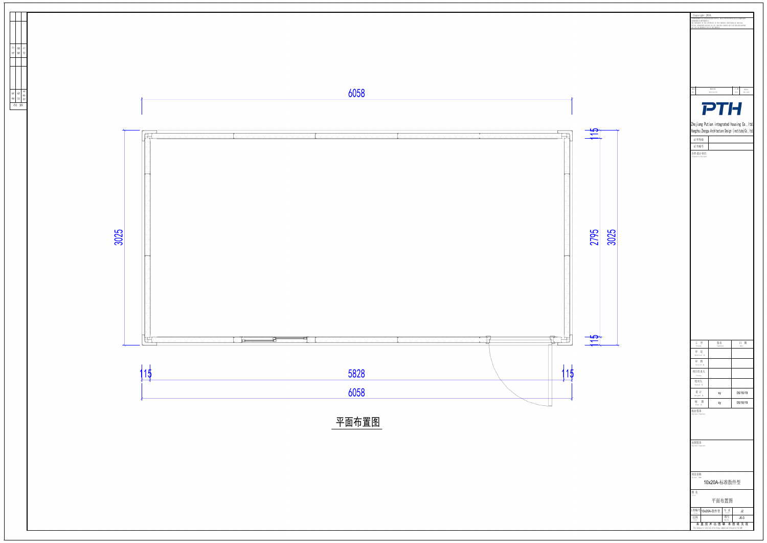| Copyright 2016.<br>必须获得本公司的书面许可。<br>ANY USE OR REPRODUCTION OF THE DRAWING. | 本图版权属浙江普天集成房屋有限公司所有, 除本工程外对本图的任何其它用途和复制,<br>THE OWNERSHIP OF THE COPYRIGHT IN THIS DRAWING ISRETAINED BY ZHEJIANG<br>PUTIAN INTEGRATED HOUSING CO. LTD, WRITTEN CONSENT MUST BE OBTAINED BEFORE |                                                                                                            |
|-----------------------------------------------------------------------------|-------------------------------------------------------------------------------------------------------------------------------------------------------------------------------------------------|------------------------------------------------------------------------------------------------------------|
|                                                                             |                                                                                                                                                                                                 |                                                                                                            |
|                                                                             |                                                                                                                                                                                                 |                                                                                                            |
|                                                                             |                                                                                                                                                                                                 |                                                                                                            |
|                                                                             |                                                                                                                                                                                                 |                                                                                                            |
| 版本<br>Rev.                                                                  | 修改内容<br>Description                                                                                                                                                                             | 日期<br>发布人<br>Date<br>who send                                                                              |
|                                                                             | PTH                                                                                                                                                                                             |                                                                                                            |
|                                                                             |                                                                                                                                                                                                 |                                                                                                            |
|                                                                             |                                                                                                                                                                                                 | Zhejiang Putian integrated housing Co., Itd.<br>Hangzhou Zhongpu Architecture Design (institute) Co., Itd. |
| 证书等级<br>证书编号                                                                |                                                                                                                                                                                                 |                                                                                                            |
| 合作设计单位<br>Cooperative Designer                                              |                                                                                                                                                                                                 |                                                                                                            |
|                                                                             |                                                                                                                                                                                                 |                                                                                                            |
|                                                                             |                                                                                                                                                                                                 |                                                                                                            |
|                                                                             |                                                                                                                                                                                                 |                                                                                                            |
|                                                                             |                                                                                                                                                                                                 |                                                                                                            |
|                                                                             |                                                                                                                                                                                                 |                                                                                                            |
|                                                                             |                                                                                                                                                                                                 |                                                                                                            |
|                                                                             |                                                                                                                                                                                                 |                                                                                                            |
|                                                                             |                                                                                                                                                                                                 |                                                                                                            |
|                                                                             |                                                                                                                                                                                                 |                                                                                                            |
|                                                                             |                                                                                                                                                                                                 |                                                                                                            |
|                                                                             |                                                                                                                                                                                                 |                                                                                                            |
|                                                                             |                                                                                                                                                                                                 |                                                                                                            |
|                                                                             |                                                                                                                                                                                                 |                                                                                                            |
|                                                                             |                                                                                                                                                                                                 |                                                                                                            |
|                                                                             |                                                                                                                                                                                                 |                                                                                                            |
| I<br>序                                                                      | 签名                                                                                                                                                                                              | 目<br>期                                                                                                     |
| Process<br>审 定<br>Authorized By                                             | Signature                                                                                                                                                                                       | Date                                                                                                       |
| 审 核<br>Verified By                                                          |                                                                                                                                                                                                 |                                                                                                            |
| 项目负责人<br>Process                                                            |                                                                                                                                                                                                 |                                                                                                            |
| 校对人<br>Checked By                                                           |                                                                                                                                                                                                 |                                                                                                            |
| 设计<br>Designed By<br>制 图                                                    | sy                                                                                                                                                                                              | 05/16/19<br>05/16/19                                                                                       |
| Drawn By<br>执业签章<br>Engineer Signature                                      | sy                                                                                                                                                                                              |                                                                                                            |
|                                                                             |                                                                                                                                                                                                 |                                                                                                            |
|                                                                             |                                                                                                                                                                                                 |                                                                                                            |
| 出图签章<br>Engineer Signature                                                  |                                                                                                                                                                                                 |                                                                                                            |
|                                                                             |                                                                                                                                                                                                 |                                                                                                            |
|                                                                             |                                                                                                                                                                                                 |                                                                                                            |
| 项目名称<br>Project Name                                                        | 10x20A-标准散件型                                                                                                                                                                                    |                                                                                                            |
| 图名<br>Title                                                                 |                                                                                                                                                                                                 |                                                                                                            |
|                                                                             | 平面布置图                                                                                                                                                                                           |                                                                                                            |
| 工程编号<br>Title<br>比例<br>Scale                                                | 专业<br>10x20A-散件型<br>Title<br>图号<br>Dwg. No.                                                                                                                                                     | JZ<br>$JO-3$                                                                                               |

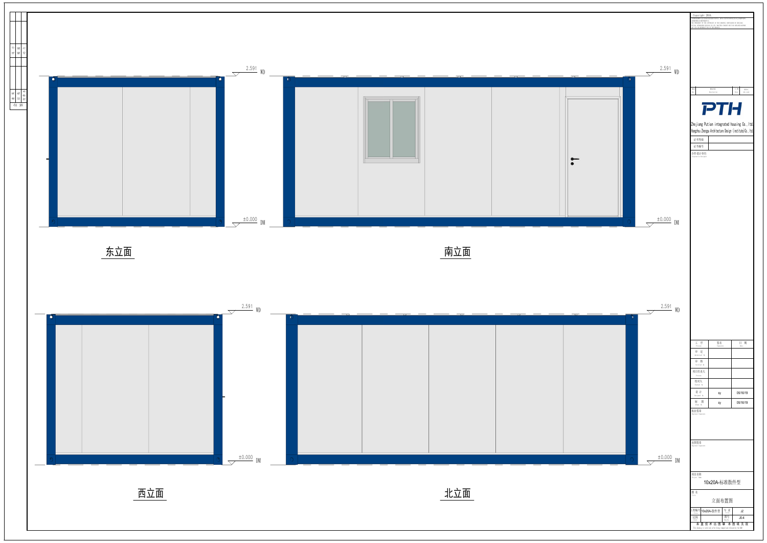